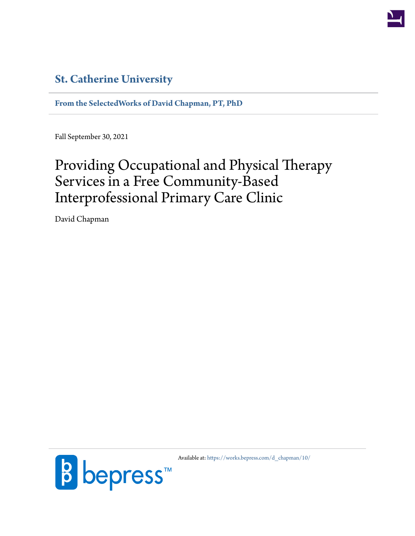

# **[St. Catherine University](http://www.stkate.edu/)**

**[From the SelectedWorks of David Chapman, PT, PhD](https://works.bepress.com/d_chapman/)**

Fall September 30, 2021

# Providing Occupational and Physical Therapy Services in a Free Community-Based Interprofessional Primary Care Clinic

David Chapman



Available at: [https://works.bepress.com/d\\_chapman/10/](https://works.bepress.com/d_chapman/10/)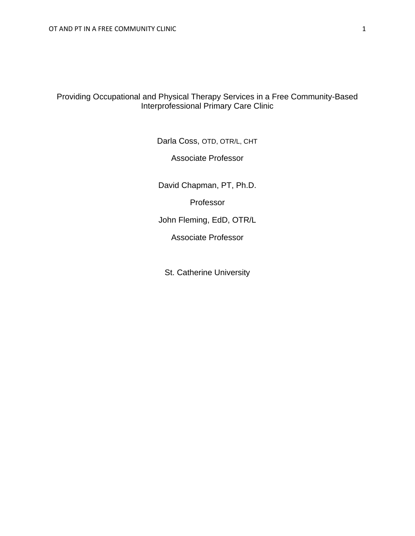# Providing Occupational and Physical Therapy Services in a Free Community-Based Interprofessional Primary Care Clinic

Darla Coss, OTD, OTR/L, CHT

Associate Professor

David Chapman, PT, Ph.D.

Professor

John Fleming, EdD, OTR/L

Associate Professor

St. Catherine University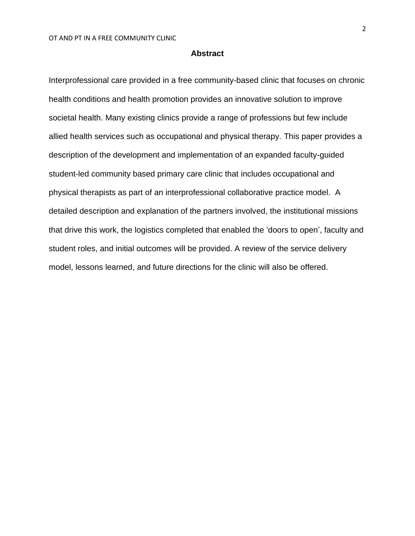# **Abstract**

Interprofessional care provided in a free community-based clinic that focuses on chronic health conditions and health promotion provides an innovative solution to improve societal health. Many existing clinics provide a range of professions but few include allied health services such as occupational and physical therapy. This paper provides a description of the development and implementation of an expanded faculty-guided student-led community based primary care clinic that includes occupational and physical therapists as part of an interprofessional collaborative practice model. A detailed description and explanation of the partners involved, the institutional missions that drive this work, the logistics completed that enabled the 'doors to open', faculty and student roles, and initial outcomes will be provided. A review of the service delivery model, lessons learned, and future directions for the clinic will also be offered.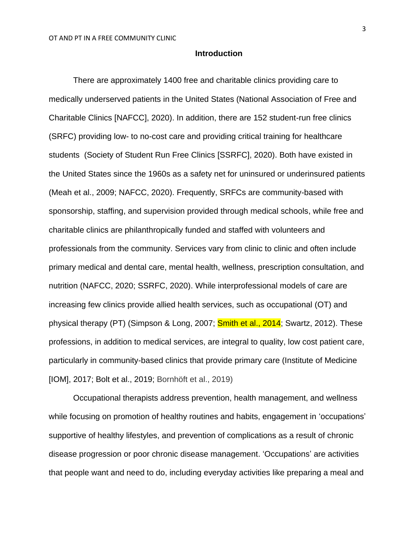# **Introduction**

There are approximately 1400 free and charitable clinics providing care to medically underserved patients in the United States (National Association of Free and Charitable Clinics [NAFCC], 2020). In addition, there are 152 student-run free clinics (SRFC) providing low- to no-cost care and providing critical training for healthcare students (Society of Student Run Free Clinics [SSRFC], 2020). Both have existed in the United States since the 1960s as a safety net for uninsured or underinsured patients (Meah et al., 2009; NAFCC, 2020). Frequently, SRFCs are community-based with sponsorship, staffing, and supervision provided through medical schools, while free and charitable clinics are philanthropically funded and staffed with volunteers and professionals from the community. Services vary from clinic to clinic and often include primary medical and dental care, mental health, wellness, prescription consultation, and nutrition (NAFCC, 2020; SSRFC, 2020). While interprofessional models of care are increasing few clinics provide allied health services, such as occupational (OT) and physical therapy (PT) (Simpson & Long, 2007; **Smith et al., 2014**; Swartz, 2012). These professions, in addition to medical services, are integral to quality, low cost patient care, particularly in community-based clinics that provide primary care (Institute of Medicine [IOM], 2017; Bolt et al., 2019; Bornhöft et al., 2019)

Occupational therapists address prevention, health management, and wellness while focusing on promotion of healthy routines and habits, engagement in 'occupations' supportive of healthy lifestyles, and prevention of complications as a result of chronic disease progression or poor chronic disease management. 'Occupations' are activities that people want and need to do, including everyday activities like preparing a meal and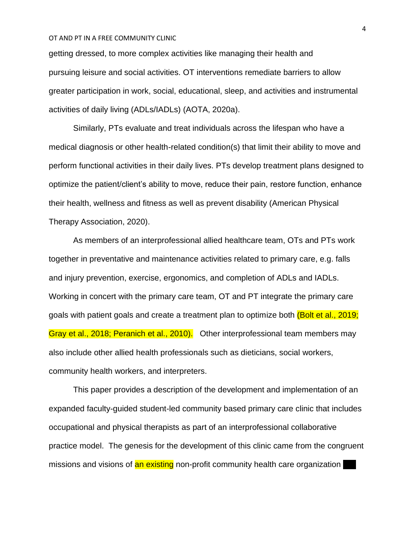getting dressed, to more complex activities like managing their health and pursuing leisure and social activities. OT interventions remediate barriers to allow greater participation in work, social, educational, sleep, and activities and instrumental activities of daily living (ADLs/IADLs) (AOTA, 2020a).

Similarly, PTs evaluate and treat individuals across the lifespan who have a medical diagnosis or other health-related condition(s) that limit their ability to move and perform functional activities in their daily lives. PTs develop treatment plans designed to optimize the patient/client's ability to move, reduce their pain, restore function, enhance their health, wellness and fitness as well as prevent disability (American Physical Therapy Association, 2020).

As members of an interprofessional allied healthcare team, OTs and PTs work together in preventative and maintenance activities related to primary care, e.g. falls and injury prevention, exercise, ergonomics, and completion of ADLs and IADLs. Working in concert with the primary care team, OT and PT integrate the primary care goals with patient goals and create a treatment plan to optimize both (Bolt et al., 2019; Gray et al., 2018; Peranich et al., 2010). Other interprofessional team members may also include other allied health professionals such as dieticians, social workers, community health workers, and interpreters.

This paper provides a description of the development and implementation of an expanded faculty-guided student-led community based primary care clinic that includes occupational and physical therapists as part of an interprofessional collaborative practice model. The genesis for the development of this clinic came from the congruent missions and visions of an existing non-profit community health care organization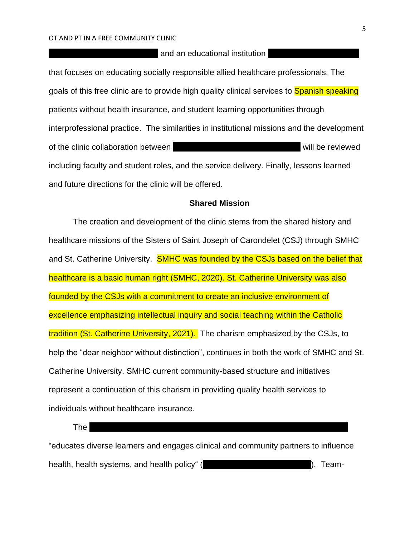# and an educational institution

that focuses on educating socially responsible allied healthcare professionals. The goals of this free clinic are to provide high quality clinical services to **Spanish speaking** patients without health insurance, and student learning opportunities through interprofessional practice. The similarities in institutional missions and the development of the clinic collaboration between SMHC and SMHC and St. Catherine University will be reviewed including faculty and student roles, and the service delivery. Finally, lessons learned and future directions for the clinic will be offered.

# **Shared Mission**

The creation and development of the clinic stems from the shared history and healthcare missions of the Sisters of Saint Joseph of Carondelet (CSJ) through SMHC and St. Catherine University. SMHC was founded by the CSJs based on the belief that healthcare is a basic human right (SMHC, 2020). St. Catherine University was also founded by the CSJs with a commitment to create an inclusive environment of excellence emphasizing intellectual inquiry and social teaching within the Catholic tradition (St. Catherine University, 2021). The charism emphasized by the CSJs, to help the "dear neighbor without distinction", continues in both the work of SMHC and St. Catherine University. SMHC current community-based structure and initiatives represent a continuation of this charism in providing quality health services to individuals without healthcare insurance.

The  $S$ aint  $S$  Henri  $S$  Henri  $S$  Henri  $S$ choll  $S$ chool of Health (HSSH)  $S$ 

"educates diverse learners and engages clinical and community partners to influence health, health systems, and health policy" (St. Catherine University, 2020). Team-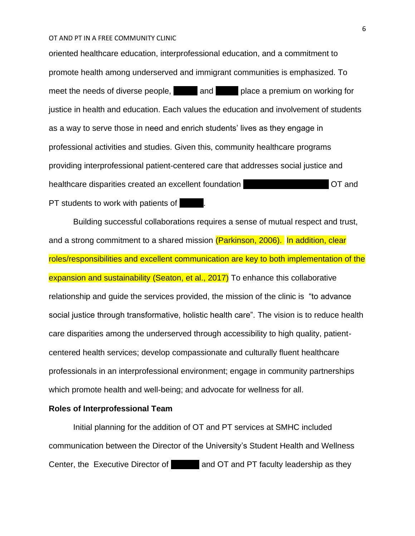oriented healthcare education, interprofessional education, and a commitment to promote health among underserved and immigrant communities is emphasized. To meet the needs of diverse people, SMHC and SMHC place a premium on working for justice in health and education. Each values the education and involvement of students as a way to serve those in need and enrich students' lives as they engage in professional activities and studies. Given this, community healthcare programs providing interprofessional patient-centered care that addresses social justice and healthcare disparities created an excellent foundation  $\overline{C}$  CT and PT students to work with patients of SMHC.

Building successful collaborations requires a sense of mutual respect and trust, and a strong commitment to a shared mission (Parkinson, 2006). In addition, clear roles/responsibilities and excellent communication are key to both implementation of the expansion and sustainability (Seaton, et al., 2017) To enhance this collaborative relationship and guide the services provided, the mission of the clinic is "to advance social justice through transformative, holistic health care". The vision is to reduce health care disparities among the underserved through accessibility to high quality, patientcentered health services; develop compassionate and culturally fluent healthcare professionals in an interprofessional environment; engage in community partnerships which promote health and well-being; and advocate for wellness for all.

# **Roles of Interprofessional Team**

Initial planning for the addition of OT and PT services at SMHC included communication between the Director of the University's Student Health and Wellness Center, the Executive Director of **SMHC, and OT and PT faculty leadership as they**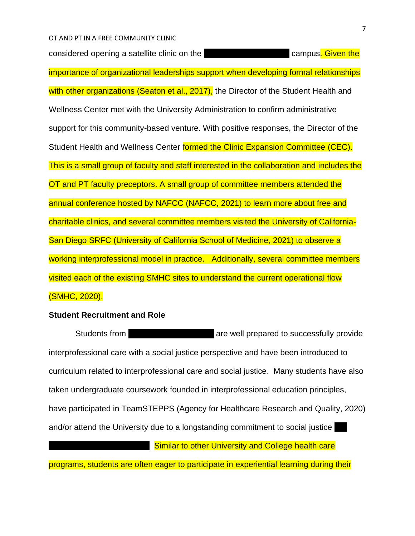considered opening a satellite clinic on the St. Campus. Campus. Given the importance of organizational leaderships support when developing formal relationships with other organizations (Seaton et al., 2017), the Director of the Student Health and Wellness Center met with the University Administration to confirm administrative support for this community-based venture. With positive responses, the Director of the Student Health and Wellness Center formed the Clinic Expansion Committee (CEC). This is a small group of faculty and staff interested in the collaboration and includes the OT and PT faculty preceptors. A small group of committee members attended the annual conference hosted by NAFCC (NAFCC, 2021) to learn more about free and charitable clinics, and several committee members visited the University of California-San Diego SRFC (University of California School of Medicine, 2021) to observe a working interprofessional model in practice. Additionally, several committee members visited each of the existing SMHC sites to understand the current operational flow (SMHC, 2020).

# **Student Recruitment and Role**

Students from Students from Stermannia University are well prepared to successfully provide interprofessional care with a social justice perspective and have been introduced to curriculum related to interprofessional care and social justice. Many students have also taken undergraduate coursework founded in interprofessional education principles, have participated in TeamSTEPPS (Agency for Healthcare Research and Quality, 2020) and/or attend the University due to a longstanding commitment to social justice

**Catherine Similar to other University and College health care** 

programs, students are often eager to participate in experiential learning during their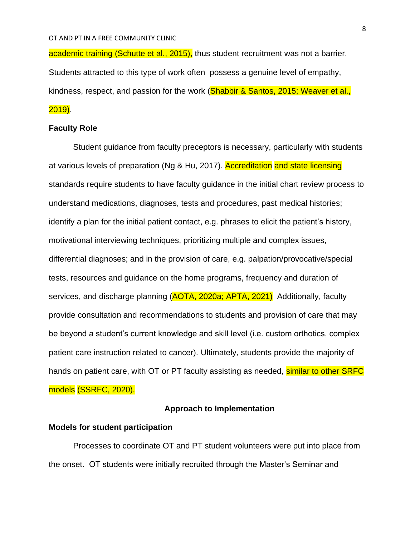academic training (Schutte et al., 2015), thus student recruitment was not a barrier. Students attracted to this type of work often possess a genuine level of empathy, kindness, respect, and passion for the work (Shabbir & Santos, 2015; Weaver et al., 2019).

# **Faculty Role**

Student guidance from faculty preceptors is necessary, particularly with students at various levels of preparation (Ng & Hu, 2017). Accreditation and state licensing standards require students to have faculty guidance in the initial chart review process to understand medications, diagnoses, tests and procedures, past medical histories; identify a plan for the initial patient contact, e.g. phrases to elicit the patient's history, motivational interviewing techniques, prioritizing multiple and complex issues, differential diagnoses; and in the provision of care, e.g. palpation/provocative/special tests, resources and guidance on the home programs, frequency and duration of services, and discharge planning (AOTA, 2020a; APTA, 2021) Additionally, faculty provide consultation and recommendations to students and provision of care that may be beyond a student's current knowledge and skill level (i.e. custom orthotics, complex patient care instruction related to cancer). Ultimately, students provide the majority of hands on patient care, with OT or PT faculty assisting as needed, similar to other SRFC models (SSRFC, 2020).

# **Approach to Implementation**

# **Models for student participation**

Processes to coordinate OT and PT student volunteers were put into place from the onset. OT students were initially recruited through the Master's Seminar and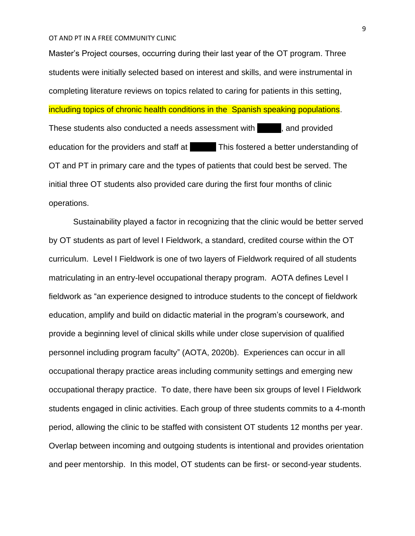Master's Project courses, occurring during their last year of the OT program. Three students were initially selected based on interest and skills, and were instrumental in completing literature reviews on topics related to caring for patients in this setting, including topics of chronic health conditions in the Spanish speaking populations. These students also conducted a needs assessment with small, and provided education for the providers and staff at This fostered a better understanding of OT and PT in primary care and the types of patients that could best be served. The initial three OT students also provided care during the first four months of clinic operations.

Sustainability played a factor in recognizing that the clinic would be better served by OT students as part of level I Fieldwork, a standard, credited course within the OT curriculum. Level I Fieldwork is one of two layers of Fieldwork required of all students matriculating in an entry-level occupational therapy program. AOTA defines Level I fieldwork as "an experience designed to introduce students to the concept of fieldwork education, amplify and build on didactic material in the program's coursework, and provide a beginning level of clinical skills while under close supervision of qualified personnel including program faculty" (AOTA, 2020b). Experiences can occur in all occupational therapy practice areas including community settings and emerging new occupational therapy practice. To date, there have been six groups of level I Fieldwork students engaged in clinic activities. Each group of three students commits to a 4-month period, allowing the clinic to be staffed with consistent OT students 12 months per year. Overlap between incoming and outgoing students is intentional and provides orientation and peer mentorship. In this model, OT students can be first- or second-year students.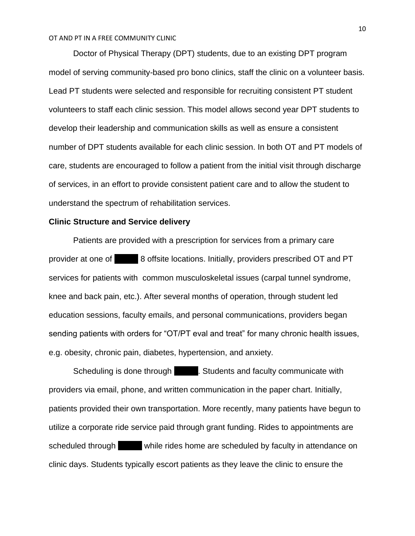Doctor of Physical Therapy (DPT) students, due to an existing DPT program model of serving community-based pro bono clinics, staff the clinic on a volunteer basis. Lead PT students were selected and responsible for recruiting consistent PT student volunteers to staff each clinic session. This model allows second year DPT students to develop their leadership and communication skills as well as ensure a consistent number of DPT students available for each clinic session. In both OT and PT models of care, students are encouraged to follow a patient from the initial visit through discharge of services, in an effort to provide consistent patient care and to allow the student to understand the spectrum of rehabilitation services.

# **Clinic Structure and Service delivery**

Patients are provided with a prescription for services from a primary care provider at one of 8 offsite locations. Initially, providers prescribed OT and PT services for patients with common musculoskeletal issues (carpal tunnel syndrome, knee and back pain, etc.). After several months of operation, through student led education sessions, faculty emails, and personal communications, providers began sending patients with orders for "OT/PT eval and treat" for many chronic health issues, e.g. obesity, chronic pain, diabetes, hypertension, and anxiety.

Scheduling is done through Students and faculty communicate with providers via email, phone, and written communication in the paper chart. Initially, patients provided their own transportation. More recently, many patients have begun to utilize a corporate ride service paid through grant funding. Rides to appointments are scheduled through while rides home are scheduled by faculty in attendance on clinic days. Students typically escort patients as they leave the clinic to ensure the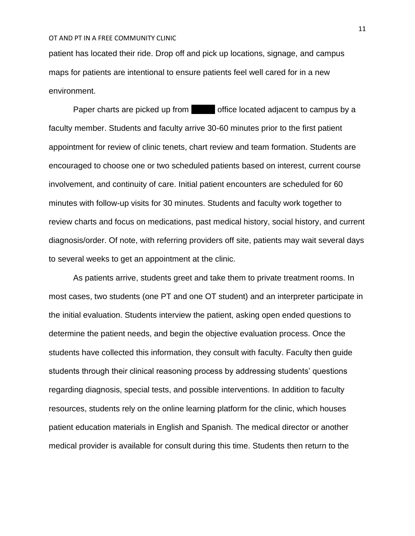patient has located their ride. Drop off and pick up locations, signage, and campus maps for patients are intentional to ensure patients feel well cared for in a new environment.

Paper charts are picked up from SMS office located adjacent to campus by a faculty member. Students and faculty arrive 30-60 minutes prior to the first patient appointment for review of clinic tenets, chart review and team formation. Students are encouraged to choose one or two scheduled patients based on interest, current course involvement, and continuity of care. Initial patient encounters are scheduled for 60 minutes with follow-up visits for 30 minutes. Students and faculty work together to review charts and focus on medications, past medical history, social history, and current diagnosis/order. Of note, with referring providers off site, patients may wait several days to several weeks to get an appointment at the clinic.

As patients arrive, students greet and take them to private treatment rooms. In most cases, two students (one PT and one OT student) and an interpreter participate in the initial evaluation. Students interview the patient, asking open ended questions to determine the patient needs, and begin the objective evaluation process. Once the students have collected this information, they consult with faculty. Faculty then guide students through their clinical reasoning process by addressing students' questions regarding diagnosis, special tests, and possible interventions. In addition to faculty resources, students rely on the online learning platform for the clinic, which houses patient education materials in English and Spanish. The medical director or another medical provider is available for consult during this time. Students then return to the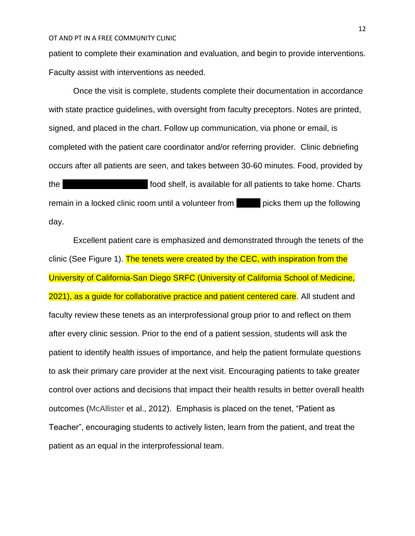patient to complete their examination and evaluation, and begin to provide interventions. Faculty assist with interventions as needed.

Once the visit is complete, students complete their documentation in accordance with state practice guidelines, with oversight from faculty preceptors. Notes are printed, signed, and placed in the chart. Follow up communication, via phone or email, is completed with the patient care coordinator and/or referring provider. Clinic debriefing occurs after all patients are seen, and takes between 30-60 minutes. Food, provided by the state of the St. Charts food shelf, is available for all patients to take home. Charts remain in a locked clinic room until a volunteer from picks them up the following day.

Excellent patient care is emphasized and demonstrated through the tenets of the clinic (See Figure 1). The tenets were created by the CEC, with inspiration from the University of California-San Diego SRFC (University of California School of Medicine, 2021), as a guide for collaborative practice and patient centered care. All student and faculty review these tenets as an interprofessional group prior to and reflect on them after every clinic session. Prior to the end of a patient session, students will ask the patient to identify health issues of importance, and help the patient formulate questions to ask their primary care provider at the next visit. Encouraging patients to take greater control over actions and decisions that impact their health results in better overall health outcomes (McAllister et al., 2012). Emphasis is placed on the tenet, "Patient as Teacher", encouraging students to actively listen, learn from the patient, and treat the patient as an equal in the interprofessional team.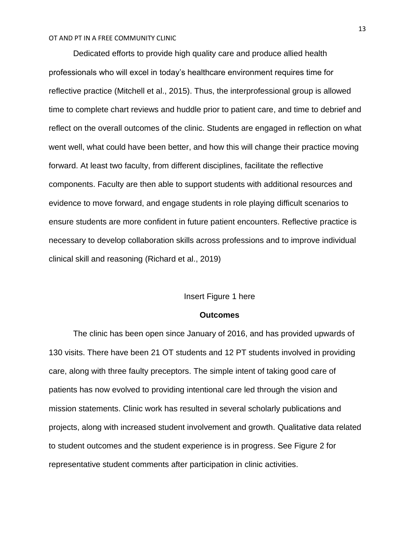Dedicated efforts to provide high quality care and produce allied health professionals who will excel in today's healthcare environment requires time for reflective practice (Mitchell et al., 2015). Thus, the interprofessional group is allowed time to complete chart reviews and huddle prior to patient care, and time to debrief and reflect on the overall outcomes of the clinic. Students are engaged in reflection on what went well, what could have been better, and how this will change their practice moving forward. At least two faculty, from different disciplines, facilitate the reflective components. Faculty are then able to support students with additional resources and evidence to move forward, and engage students in role playing difficult scenarios to ensure students are more confident in future patient encounters. Reflective practice is necessary to develop collaboration skills across professions and to improve individual clinical skill and reasoning (Richard et al., 2019)

# Insert Figure 1 here

### **Outcomes**

The clinic has been open since January of 2016, and has provided upwards of 130 visits. There have been 21 OT students and 12 PT students involved in providing care, along with three faulty preceptors. The simple intent of taking good care of patients has now evolved to providing intentional care led through the vision and mission statements. Clinic work has resulted in several scholarly publications and projects, along with increased student involvement and growth. Qualitative data related to student outcomes and the student experience is in progress. See Figure 2 for representative student comments after participation in clinic activities.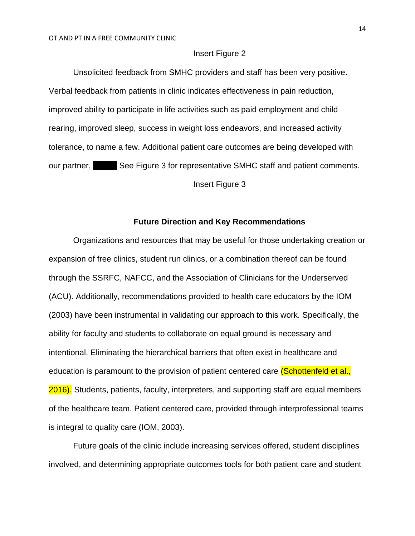# Insert Figure 2

Unsolicited feedback from SMHC providers and staff has been very positive. Verbal feedback from patients in clinic indicates effectiveness in pain reduction, improved ability to participate in life activities such as paid employment and child rearing, improved sleep, success in weight loss endeavors, and increased activity tolerance, to name a few. Additional patient care outcomes are being developed with our partner, See Figure 3 for representative SMHC staff and patient comments. Insert Figure 3

# **Future Direction and Key Recommendations**

Organizations and resources that may be useful for those undertaking creation or expansion of free clinics, student run clinics, or a combination thereof can be found through the SSRFC, NAFCC, and the Association of Clinicians for the Underserved (ACU). Additionally, recommendations provided to health care educators by the IOM (2003) have been instrumental in validating our approach to this work. Specifically, the ability for faculty and students to collaborate on equal ground is necessary and intentional. Eliminating the hierarchical barriers that often exist in healthcare and education is paramount to the provision of patient centered care *(Schottenfeld et al.,* 2016). Students, patients, faculty, interpreters, and supporting staff are equal members of the healthcare team. Patient centered care, provided through interprofessional teams is integral to quality care (IOM, 2003).

Future goals of the clinic include increasing services offered, student disciplines involved, and determining appropriate outcomes tools for both patient care and student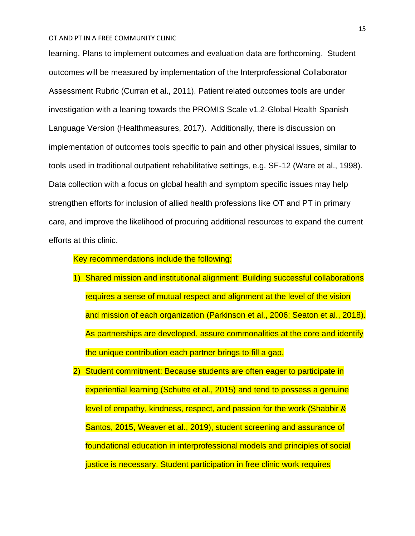learning. Plans to implement outcomes and evaluation data are forthcoming. Student outcomes will be measured by implementation of the Interprofessional Collaborator Assessment Rubric (Curran et al., 2011). Patient related outcomes tools are under investigation with a leaning towards the PROMIS Scale v1.2-Global Health Spanish Language Version (Healthmeasures, 2017). Additionally, there is discussion on implementation of outcomes tools specific to pain and other physical issues, similar to tools used in traditional outpatient rehabilitative settings, e.g. SF-12 (Ware et al., 1998). Data collection with a focus on global health and symptom specific issues may help strengthen efforts for inclusion of allied health professions like OT and PT in primary care, and improve the likelihood of procuring additional resources to expand the current efforts at this clinic.

Key recommendations include the following:

- 1) Shared mission and institutional alignment: Building successful collaborations requires a sense of mutual respect and alignment at the level of the vision and mission of each organization (Parkinson et al., 2006; Seaton et al., 2018). As partnerships are developed, assure commonalities at the core and identify the unique contribution each partner brings to fill a gap.
- 2) Student commitment: Because students are often eager to participate in experiential learning (Schutte et al., 2015) and tend to possess a genuine level of empathy, kindness, respect, and passion for the work (Shabbir & Santos, 2015, Weaver et al., 2019), student screening and assurance of foundational education in interprofessional models and principles of social justice is necessary. Student participation in free clinic work requires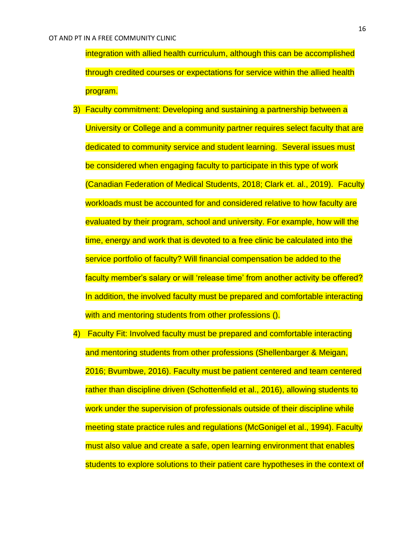integration with allied health curriculum, although this can be accomplished through credited courses or expectations for service within the allied health program.

- 3) Faculty commitment: Developing and sustaining a partnership between a University or College and a community partner requires select faculty that are dedicated to community service and student learning. Several issues must be considered when engaging faculty to participate in this type of work (Canadian Federation of Medical Students, 2018; Clark et. al., 2019). Faculty workloads must be accounted for and considered relative to how faculty are evaluated by their program, school and university. For example, how will the time, energy and work that is devoted to a free clinic be calculated into the service portfolio of faculty? Will financial compensation be added to the faculty member's salary or will 'release time' from another activity be offered? In addition, the involved faculty must be prepared and comfortable interacting with and mentoring students from other professions ().
- 4) Faculty Fit: Involved faculty must be prepared and comfortable interacting and mentoring students from other professions (Shellenbarger & Meigan, 2016; Bvumbwe, 2016). Faculty must be patient centered and team centered rather than discipline driven (Schottenfield et al., 2016), allowing students to work under the supervision of professionals outside of their discipline while meeting state practice rules and regulations (McGonigel et al., 1994). Faculty must also value and create a safe, open learning environment that enables students to explore solutions to their patient care hypotheses in the context of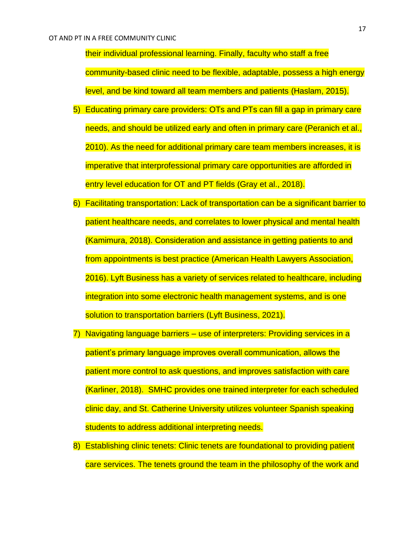their individual professional learning. Finally, faculty who staff a free community-based clinic need to be flexible, adaptable, possess a high energy level, and be kind toward all team members and patients (Haslam, 2015).

- 5) Educating primary care providers: OTs and PTs can fill a gap in primary care needs, and should be utilized early and often in primary care (Peranich et al., 2010). As the need for additional primary care team members increases, it is imperative that interprofessional primary care opportunities are afforded in entry level education for OT and PT fields (Gray et al., 2018).
- 6) Facilitating transportation: Lack of transportation can be a significant barrier to patient healthcare needs, and correlates to lower physical and mental health (Kamimura, 2018). Consideration and assistance in getting patients to and from appointments is best practice (American Health Lawyers Association, 2016). Lyft Business has a variety of services related to healthcare, including integration into some electronic health management systems, and is one solution to transportation barriers (Lyft Business, 2021).
- 7) Navigating language barriers use of interpreters: Providing services in a patient's primary language improves overall communication, allows the patient more control to ask questions, and improves satisfaction with care (Karliner, 2018). SMHC provides one trained interpreter for each scheduled clinic day, and St. Catherine University utilizes volunteer Spanish speaking students to address additional interpreting needs.
- 8) Establishing clinic tenets: Clinic tenets are foundational to providing patient care services. The tenets ground the team in the philosophy of the work and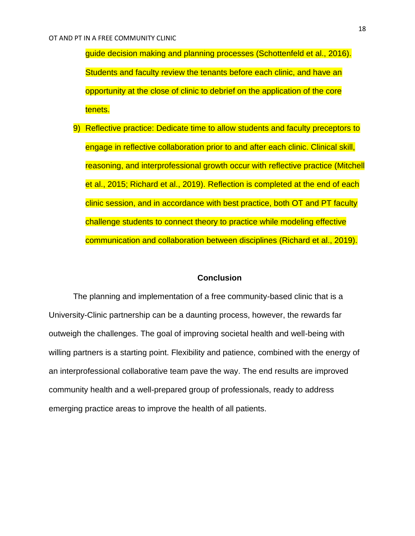guide decision making and planning processes (Schottenfeld et al., 2016). Students and faculty review the tenants before each clinic, and have an opportunity at the close of clinic to debrief on the application of the core tenets.

9) Reflective practice: Dedicate time to allow students and faculty preceptors to engage in reflective collaboration prior to and after each clinic. Clinical skill, reasoning, and interprofessional growth occur with reflective practice (Mitchell et al., 2015; Richard et al., 2019). Reflection is completed at the end of each clinic session, and in accordance with best practice, both OT and PT faculty challenge students to connect theory to practice while modeling effective communication and collaboration between disciplines (Richard et al., 2019).

# **Conclusion**

The planning and implementation of a free community-based clinic that is a University-Clinic partnership can be a daunting process, however, the rewards far outweigh the challenges. The goal of improving societal health and well-being with willing partners is a starting point. Flexibility and patience, combined with the energy of an interprofessional collaborative team pave the way. The end results are improved community health and a well-prepared group of professionals, ready to address emerging practice areas to improve the health of all patients.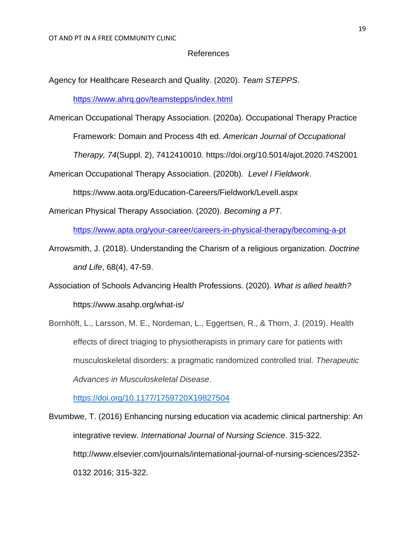### References

Agency for Healthcare Research and Quality. (2020). *Team STEPPS*[.](https://www.ahrq.gov/teamstepps/index.html)

<https://www.ahrq.gov/teamstepps/index.html>

American Occupational Therapy Association. (2020a). Occupational Therapy Practice

Framework: Domain and Process 4th ed. *American Journal of Occupational* 

*Therapy, 74*(Suppl. 2), 7412410010.<https://doi.org/10.5014/ajot.2020.74S2001>

American Occupational Therapy Association. (2020b). *Level I Fieldwork*.

<https://www.aota.org/Education-Careers/Fieldwork/LevelI.aspx>

American Physical Therapy Association. (2020). *Becoming a PT*[.](https://www.apta.org/your-career/careers-in-physical-therapy/becoming-a-pt)

<https://www.apta.org/your-career/careers-in-physical-therapy/becoming-a-pt>

- Arrowsmith, J. (2018). Understanding the Charism of a religious organization. *Doctrine and Life*, 68(4), 47-59.
- Association of Schools Advancing Health Professions. (2020). *What is allied health?* <https://www.asahp.org/what-is/>

Bornhöft, L., Larsson, M. E., Nordeman, L., Eggertsen, R., & Thorn, J. (2019). Health effects of direct triaging to physiotherapists in primary care for patients with musculoskeletal disorders: a pragmatic randomized controlled trial. *Therapeutic Advances in Musculoskeletal Disease*.

<https://doi.org/10.1177/1759720X19827504>

Bvumbwe, T. (2016) Enhancing nursing education via academic clinical partnership: An integrative review. *International Journal of Nursing Science*. 315-322. http://www.elsevier.com/journals/international-journal-of-nursing-sciences/2352- 0132 2016; 315-322.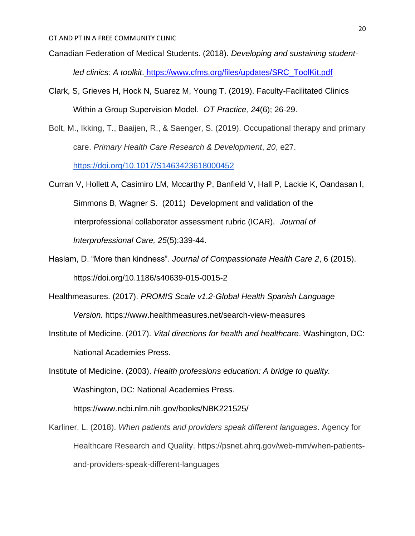- Canadian Federation of Medical Students. (2018). *Developing and sustaining studentled clinics: A toolkit*. [https://www.cfms.org/files/updates/SRC\\_ToolKit.pdf](https://www.cfms.org/files/updates/SRC_ToolKit.pdf)
- Clark, S, Grieves H, Hock N, Suarez M, Young T. (2019). Faculty-Facilitated Clinics Within a Group Supervision Model. *OT Practice, 24*(6); 26-29.
- Bolt, M., Ikking, T., Baaijen, R., & Saenger, S. (2019). Occupational therapy and primary care. *Primary Health Care Research & Development*, *20*, e27[.](https://doi.org/10.1017/S1463423618000452)

<https://doi.org/10.1017/S1463423618000452>

- Curran V, Hollett A, Casimiro LM, Mccarthy P, Banfield V, Hall P, Lackie K, Oandasan I, Simmons B, Wagner S. (2011) Development and validation of the interprofessional collaborator assessment rubric (ICAR). *Journal of Interprofessional Care, 25*(5):339-44.
- Haslam, D. "More than kindness". *Journal of Compassionate Health Care 2*, 6 (2015). https://doi.org/10.1186/s40639-015-0015-2
- Healthmeasures. (2017). *PROMIS Scale v1.2-Global Health Spanish Language Version.* https://www.healthmeasures.net/search-view-measures
- Institute of Medicine. (2017). *Vital directions for health and healthcare*. Washington, DC: National Academies Press.

Institute of Medicine. (2003). *Health professions education: A bridge to quality.* Washington, DC: National Academies Press. https://www.ncbi.nlm.nih.gov/books/NBK221525/

Karliner, L. (2018). *When patients and providers speak different languages*. Agency for Healthcare Research and Quality. https://psnet.ahrq.gov/web-mm/when-patientsand-providers-speak-different-languages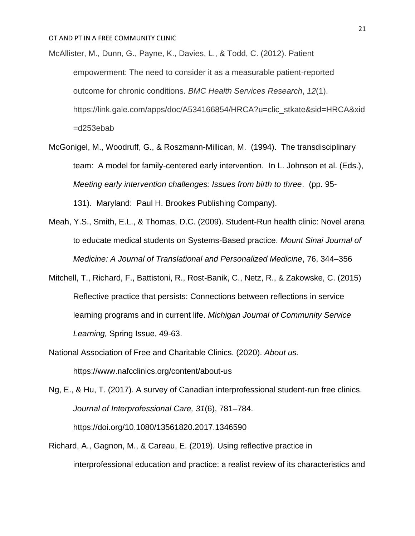McAllister, M., Dunn, G., Payne, K., Davies, L., & Todd, C. (2012). Patient empowerment: The need to consider it as a measurable patient-reported outcome for chronic conditions. *BMC Health Services Research*, *12*(1). https://link.gale.com/apps/doc/A534166854/HRCA?u=clic\_stkate&sid=HRCA&xid =d253ebab

- McGonigel, M., Woodruff, G., & Roszmann-Millican, M. (1994). The transdisciplinary team: A model for family-centered early intervention. In L. Johnson et al. (Eds.), *Meeting early intervention challenges: Issues from birth to three*. (pp. 95- 131). Maryland: Paul H. Brookes Publishing Company).
- Meah, Y.S., Smith, E.L., & Thomas, D.C. (2009). Student-Run health clinic: Novel arena to educate medical students on Systems-Based practice. *Mount Sinai Journal of Medicine: A Journal of Translational and Personalized Medicine*, 76, 344–356
- Mitchell, T., Richard, F., Battistoni, R., Rost-Banik, C., Netz, R., & Zakowske, C. (2015) Reflective practice that persists: Connections between reflections in service learning programs and in current life. *Michigan Journal of Community Service Learning,* Spring Issue, 49-63.
- National Association of Free and Charitable Clinics. (2020). *About us.*

https://www.nafcclinics.org/content/about-us

Ng, E., & Hu, T. (2017). A survey of Canadian interprofessional student-run free clinics. *Journal of Interprofessional Care, 31*(6), 781–784[.](https://doi.org/10.1080/13561820.2017.1346590) <https://doi.org/10.1080/13561820.2017.1346590>

Richard, A., Gagnon, M., & Careau, E. (2019). Using reflective practice in interprofessional education and practice: a realist review of its characteristics and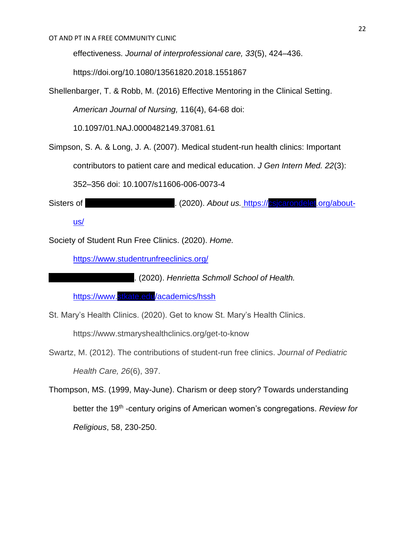effectiveness. *Journal of interprofessional care, 33*(5), 424–436.

<https://doi.org/10.1080/13561820.2018.1551867>

Shellenbarger, T. & Robb, M. (2016) Effective Mentoring in the Clinical Setting.

*American Journal of Nursing,* 116(4), 64-68 doi:

10.1097/01.NAJ.0000482149.37081.61

Simpson, S. A. & Long, J. A. (2007). Medical student-run health clinics: Important

contributors to patient care and medical education. *J Gen Intern Med. 22*(3):

352–356 doi: [10.1007/s11606-006-0073-4](https://dx.doi.org/10.1007%2Fs11606-006-0073-4)

Sisters of Sisters of Caroline St. (2020). About us. [https://csjcarondelet.org/about-](https://csjcarondelet.org/about-us/)

[us/](https://csjcarondelet.org/about-us/)

Society of Student Run Free Clinics. (2020). *Home[.](https://www.studentrunfreeclinics.org/)*

<https://www.studentrunfreeclinics.org/>

St[.](https://www.stkate.edu/academics/hssh) (2020). *Henrietta Schmoll School of Health.* 

<https://www.stkate.edu/academics/hssh>

St. Mary's Health Clinics. (2020). Get to know St. Mary's Health Clinics.

https://www.stmaryshealthclinics.org/get-to-know

Swartz, M. (2012). The contributions of student-run free clinics. *Journal of Pediatric Health Care, 26*(6), 397.

Thompson, MS. (1999, May-June). Charism or deep story? Towards understanding better the 19<sup>th</sup> -century origins of American women's congregations. *Review for Religious*, 58, 230-250.